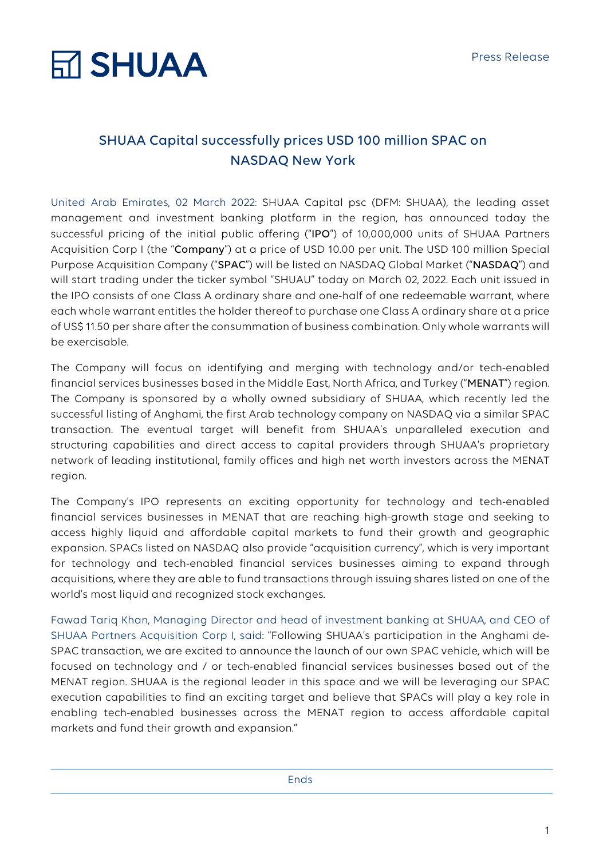# **RT SHUAA**

### SHUAA Capital successfully prices USD 100 million SPAC on NASDAQ New York

United Arab Emirates, 02 March 2022: SHUAA Capital psc (DFM: SHUAA), the leading asset management and investment banking platform in the region, has announced today the successful pricing of the initial public offering ("IPO") of 10,000,000 units of SHUAA Partners Acquisition Corp I (the "Company") at a price of USD 10.00 per unit. The USD 100 million Special Purpose Acquisition Company ("SPAC") will be listed on NASDAQ Global Market ("NASDAQ") and will start trading under the ticker symbol "SHUAU" today on March 02, 2022. Each unit issued in the IPO consists of one Class A ordinary share and one-half of one redeemable warrant, where each whole warrant entitles the holder thereof to purchase one Class A ordinary share at a price of US\$ 11.50 per share after the consummation of business combination. Only whole warrants will be exercisable.

The Company will focus on identifying and merging with technology and/or tech-enabled financial services businesses based in the Middle East, North Africa, and Turkey ("MENAT") region. The Company is sponsored by a wholly owned subsidiary of SHUAA, which recently led the successful listing of Anghami, the first Arab technology company on NASDAQ via a similar SPAC transaction. The eventual target will benefit from SHUAA's unparalleled execution and structuring capabilities and direct access to capital providers through SHUAA's proprietary network of leading institutional, family offices and high net worth investors across the MENAT region.

The Company's IPO represents an exciting opportunity for technology and tech-enabled financial services businesses in MENAT that are reaching high-growth stage and seeking to access highly liquid and affordable capital markets to fund their growth and geographic expansion. SPACs listed on NASDAQ also provide "acquisition currency", which is very important for technology and tech-enabled financial services businesses aiming to expand through acquisitions, where they are able to fund transactions through issuing shares listed on one of the world's most liquid and recognized stock exchanges.

Fawad Tariq Khan, Managing Director and head of investment banking at SHUAA, and CEO of SHUAA Partners Acquisition Corp I, said: "Following SHUAA's participation in the Anghami de-SPAC transaction, we are excited to announce the launch of our own SPAC vehicle, which will be focused on technology and / or tech-enabled financial services businesses based out of the MENAT region. SHUAA is the regional leader in this space and we will be leveraging our SPAC execution capabilities to find an exciting target and believe that SPACs will play a key role in enabling tech-enabled businesses across the MENAT region to access affordable capital markets and fund their growth and expansion."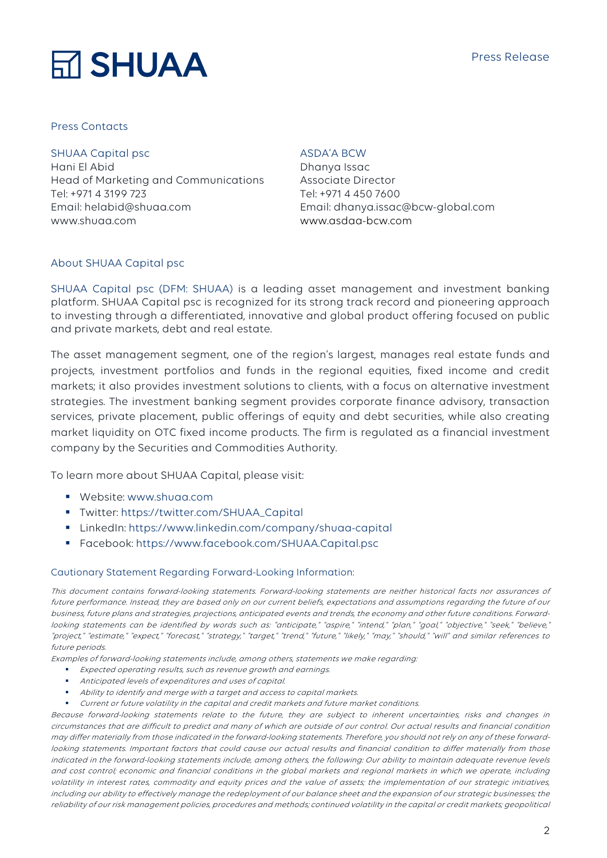#### Press Release



#### Press Contacts

#### SHUAA Capital psc

Hani El Abid Head of Marketing and Communications Tel: +971 4 3199 723 Email: helabid@shuaa.com www.shuaa.com

#### ASDA'A BCW

Dhanya Issac Associate Director Tel: +971 4 450 7600 Email: dhanya.issac@bcw-global.com www.asdaa-bcw.com

#### About SHUAA Capital psc

SHUAA Capital psc (DFM: SHUAA) is a leading asset management and investment banking platform. SHUAA Capital psc is recognized for its strong track record and pioneering approach to investing through a differentiated, innovative and global product offering focused on public and private markets, debt and real estate.

The asset management segment, one of the region's largest, manages real estate funds and projects, investment portfolios and funds in the regional equities, fixed income and credit markets; it also provides investment solutions to clients, with a focus on alternative investment strategies. The investment banking segment provides corporate finance advisory, transaction services, private placement, public offerings of equity and debt securities, while also creating market liquidity on OTC fixed income products. The firm is regulated as a financial investment company by the Securities and Commodities Authority.

To learn more about SHUAA Capital, please visit:

- § Website: www.shuaa.com
- § Twitter: https://twitter.com/SHUAA\_Capital
- § LinkedIn: https://www.linkedin.com/company/shuaa-capital
- § Facebook: https://www.facebook.com/SHUAA.Capital.psc

#### Cautionary Statement Regarding Forward-Looking Information:

This document contains forward-looking statements. Forward-looking statements are neither historical facts nor assurances of future performance. Instead, they are based only on our current beliefs, expectations and assumptions regarding the future of our business, future plans and strategies, projections, anticipated events and trends, the economy and other future conditions. Forwardlooking statements can be identified by words such as: "anticipate," "aspire," "intend," "plan," "goal," "objective," "seek," "believe," "project," "estimate," "expect," "forecast," "strategy," "target," "trend," "future," "likely," "may," "should," "will" and similar references to future periods.

Examples of forward-looking statements include, among others, statements we make regarding:

- Expected operating results, such as revenue growth and earnings.
- § Anticipated levels of expenditures and uses of capital.
- Ability to identify and merge with a target and access to capital markets.
- § Current or future volatility in the capital and credit markets and future market conditions.

Because forward-looking statements relate to the future, they are subject to inherent uncertainties, risks and changes in circumstances that are difficult to predict and many of which are outside of our control. Our actual results and financial condition may differ materially from those indicated in the forward-looking statements. Therefore, you should not rely on any of these forwardlooking statements. Important factors that could cause our actual results and financial condition to differ materially from those indicated in the forward-looking statements include, among others, the following: Our ability to maintain adequate revenue levels and cost control; economic and financial conditions in the global markets and regional markets in which we operate, including volatility in interest rates, commodity and equity prices and the value of assets; the implementation of our strategic initiatives, including our ability to effectively manage the redeployment of our balance sheet and the expansion of our strategic businesses; the reliability of our risk management policies, procedures and methods; continued volatility in the capital or credit markets; geopolitical